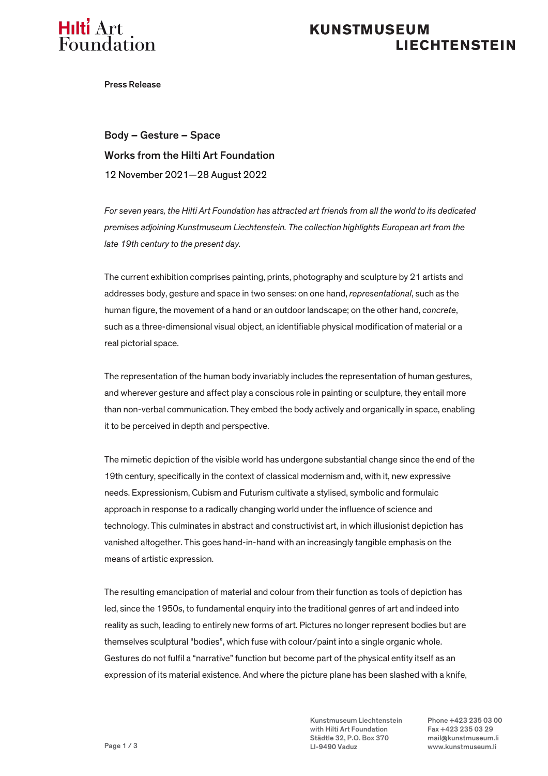

## **KUNSTMUSEUM LIECHTENSTEIN**

Press Release

Body – Gesture – Space Works from the Hilti Art Foundation 12 November 2021—28 August 2022

*For seven years, the Hilti Art Foundation has attracted art friends from all the world to its dedicated premises adjoining Kunstmuseum Liechtenstein. The collection highlights European art from the late 19th century to the present day.*

The current exhibition comprises painting, prints, photography and sculpture by 21 artists and addresses body, gesture and space in two senses: on one hand, *representational*, such as the human figure, the movement of a hand or an outdoor landscape; on the other hand, *concrete*, such as a three-dimensional visual object, an identifiable physical modification of material or a real pictorial space.

The representation of the human body invariably includes the representation of human gestures, and wherever gesture and affect play a conscious role in painting or sculpture, they entail more than non-verbal communication. They embed the body actively and organically in space, enabling it to be perceived in depth and perspective.

The mimetic depiction of the visible world has undergone substantial change since the end of the 19th century, specifically in the context of classical modernism and, with it, new expressive needs. Expressionism, Cubism and Futurism cultivate a stylised, symbolic and formulaic approach in response to a radically changing world under the influence of science and technology. This culminates in abstract and constructivist art, in which illusionist depiction has vanished altogether. This goes hand-in-hand with an increasingly tangible emphasis on the means of artistic expression.

The resulting emancipation of material and colour from their function as tools of depiction has led, since the 1950s, to fundamental enquiry into the traditional genres of art and indeed into reality as such, leading to entirely new forms of art. Pictures no longer represent bodies but are themselves sculptural "bodies", which fuse with colour/paint into a single organic whole. Gestures do not fulfil a "narrative" function but become part of the physical entity itself as an expression of its material existence. And where the picture plane has been slashed with a knife,

> Kunstmuseum Liechtenstein Phone +423 235 03 00 with Hilti Art Foundation Fax +423 235 03 29 Städtle 32, P.O. Box 370 mail@kunstmuseum.li LI-9490 Vaduz www.kunstmuseum.li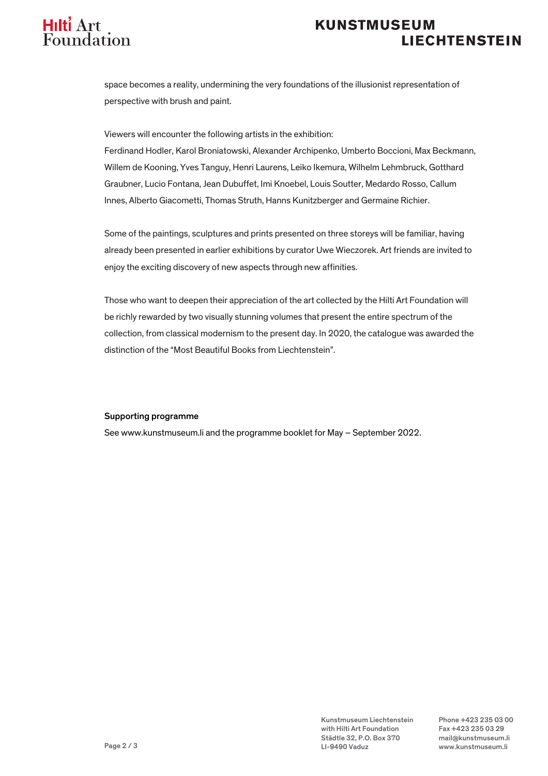

# **KUNSTMUSEUM LIECHTENSTEIN**

space becomes a reality, undermining the very foundations of the illusionist representation of perspective with brush and paint.

Viewers will encounter the following artists in the exhibition:

Ferdinand Hodler, Karol Broniatowski, Alexander Archipenko, Umberto Boccioni, Max Beckmann, Willem de Kooning, Yves Tanguy, Henri Laurens, Leiko Ikemura, Wilhelm Lehmbruck, Gotthard Graubner, Lucio Fontana, Jean Dubuffet, Imi Knoebel, Louis Soutter, Medardo Rosso, Callum Innes, Alberto Giacometti, Thomas Struth, Hanns Kunitzberger and Germaine Richier.

Some of the paintings, sculptures and prints presented on three storeys will be familiar, having already been presented in earlier exhibitions by curator Uwe Wieczorek. Art friends are invited to enjoy the exciting discovery of new aspects through new affinities.

Those who want to deepen their appreciation of the art collected by the Hilti Art Foundation will be richly rewarded by two visually stunning volumes that present the entire spectrum of the collection, from classical modernism to the present day. In 2020, the catalogue was awarded the distinction of the "Most Beautiful Books from Liechtenstein".

### Supporting programme

See www.kunstmuseum.li and the programme booklet for May – September 2022.

Kunstmuseum Liechtenstein Phone +423 235 03 00 with Hilti Art Foundation Fax +423 235 03 29 Städtle 32, P.O. Box 370 mail@kunstmuseum.li LI-9490 Vaduz www.kunstmuseum.li